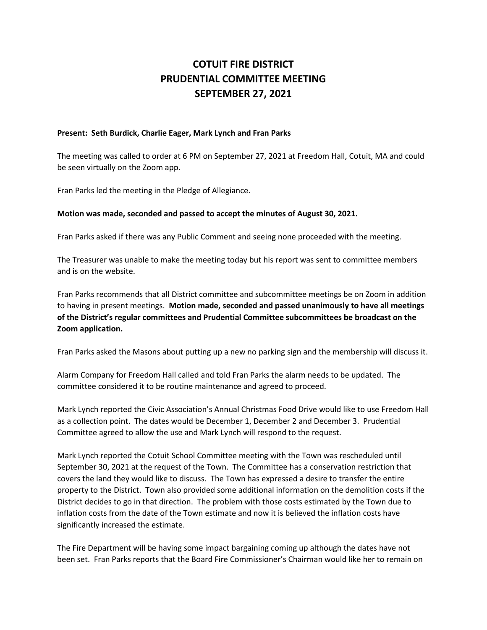## **COTUIT FIRE DISTRICT PRUDENTIAL COMMITTEE MEETING SEPTEMBER 27, 2021**

## **Present: Seth Burdick, Charlie Eager, Mark Lynch and Fran Parks**

The meeting was called to order at 6 PM on September 27, 2021 at Freedom Hall, Cotuit, MA and could be seen virtually on the Zoom app.

Fran Parks led the meeting in the Pledge of Allegiance.

## **Motion was made, seconded and passed to accept the minutes of August 30, 2021.**

Fran Parks asked if there was any Public Comment and seeing none proceeded with the meeting.

The Treasurer was unable to make the meeting today but his report was sent to committee members and is on the website.

Fran Parks recommends that all District committee and subcommittee meetings be on Zoom in addition to having in present meetings. **Motion made, seconded and passed unanimously to have all meetings of the District's regular committees and Prudential Committee subcommittees be broadcast on the Zoom application.**

Fran Parks asked the Masons about putting up a new no parking sign and the membership will discuss it.

Alarm Company for Freedom Hall called and told Fran Parks the alarm needs to be updated. The committee considered it to be routine maintenance and agreed to proceed.

Mark Lynch reported the Civic Association's Annual Christmas Food Drive would like to use Freedom Hall as a collection point. The dates would be December 1, December 2 and December 3. Prudential Committee agreed to allow the use and Mark Lynch will respond to the request.

Mark Lynch reported the Cotuit School Committee meeting with the Town was rescheduled until September 30, 2021 at the request of the Town. The Committee has a conservation restriction that covers the land they would like to discuss. The Town has expressed a desire to transfer the entire property to the District. Town also provided some additional information on the demolition costs if the District decides to go in that direction. The problem with those costs estimated by the Town due to inflation costs from the date of the Town estimate and now it is believed the inflation costs have significantly increased the estimate.

The Fire Department will be having some impact bargaining coming up although the dates have not been set. Fran Parks reports that the Board Fire Commissioner's Chairman would like her to remain on